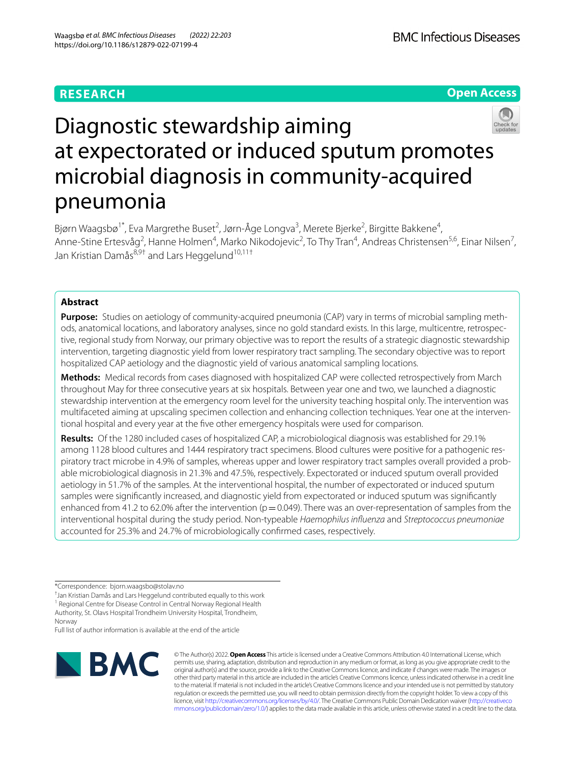## **RESEARCH**

**Open Access**



# Diagnostic stewardship aiming at expectorated or induced sputum promotes microbial diagnosis in community-acquired pneumonia

Bjørn Waagsbø<sup>1\*</sup>, Eva Margrethe Buset<sup>2</sup>, Jørn-Åge Longva<sup>3</sup>, Merete Bjerke<sup>2</sup>, Birgitte Bakkene<sup>4</sup>, Anne-Stine Ertesvåg<sup>2</sup>, Hanne Holmen<sup>4</sup>, Marko Nikodojevic<sup>2</sup>, To Thy Tran<sup>4</sup>, Andreas Christensen<sup>5,6</sup>, Einar Nilsen<sup>7</sup>, Jan Kristian Damås<sup>8,9†</sup> and Lars Heggelund<sup>10,11†</sup>

## **Abstract**

**Purpose:** Studies on aetiology of community-acquired pneumonia (CAP) vary in terms of microbial sampling methods, anatomical locations, and laboratory analyses, since no gold standard exists. In this large, multicentre, retrospec‑ tive, regional study from Norway, our primary objective was to report the results of a strategic diagnostic stewardship intervention, targeting diagnostic yield from lower respiratory tract sampling. The secondary objective was to report hospitalized CAP aetiology and the diagnostic yield of various anatomical sampling locations.

**Methods:** Medical records from cases diagnosed with hospitalized CAP were collected retrospectively from March throughout May for three consecutive years at six hospitals. Between year one and two, we launched a diagnostic stewardship intervention at the emergency room level for the university teaching hospital only. The intervention was multifaceted aiming at upscaling specimen collection and enhancing collection techniques. Year one at the interventional hospital and every year at the fve other emergency hospitals were used for comparison.

**Results:** Of the 1280 included cases of hospitalized CAP, a microbiological diagnosis was established for 29.1% among 1128 blood cultures and 1444 respiratory tract specimens. Blood cultures were positive for a pathogenic respiratory tract microbe in 4.9% of samples, whereas upper and lower respiratory tract samples overall provided a probable microbiological diagnosis in 21.3% and 47.5%, respectively. Expectorated or induced sputum overall provided aetiology in 51.7% of the samples. At the interventional hospital, the number of expectorated or induced sputum samples were signifcantly increased, and diagnostic yield from expectorated or induced sputum was signifcantly enhanced from 41.2 to 62.0% after the intervention ( $p=0.049$ ). There was an over-representation of samples from the interventional hospital during the study period. Non-typeable *Haemophilus infuenza* and *Streptococcus pneumoniae* accounted for 25.3% and 24.7% of microbiologically confrmed cases, respectively.

Norway Full list of author information is available at the end of the article



© The Author(s) 2022. **Open Access** This article is licensed under a Creative Commons Attribution 4.0 International License, which permits use, sharing, adaptation, distribution and reproduction in any medium or format, as long as you give appropriate credit to the original author(s) and the source, provide a link to the Creative Commons licence, and indicate if changes were made. The images or other third party material in this article are included in the article's Creative Commons licence, unless indicated otherwise in a credit line to the material. If material is not included in the article's Creative Commons licence and your intended use is not permitted by statutory regulation or exceeds the permitted use, you will need to obtain permission directly from the copyright holder. To view a copy of this licence, visit [http://creativecommons.org/licenses/by/4.0/.](http://creativecommons.org/licenses/by/4.0/) The Creative Commons Public Domain Dedication waiver ([http://creativeco](http://creativecommons.org/publicdomain/zero/1.0/) [mmons.org/publicdomain/zero/1.0/](http://creativecommons.org/publicdomain/zero/1.0/)) applies to the data made available in this article, unless otherwise stated in a credit line to the data.

<sup>\*</sup>Correspondence: bjorn.waagsbo@stolav.no

<sup>†</sup> Jan Kristian Damås and Lars Heggelund contributed equally to this work

<sup>&</sup>lt;sup>1</sup> Regional Centre for Disease Control in Central Norway Regional Health Authority, St. Olavs Hospital Trondheim University Hospital, Trondheim,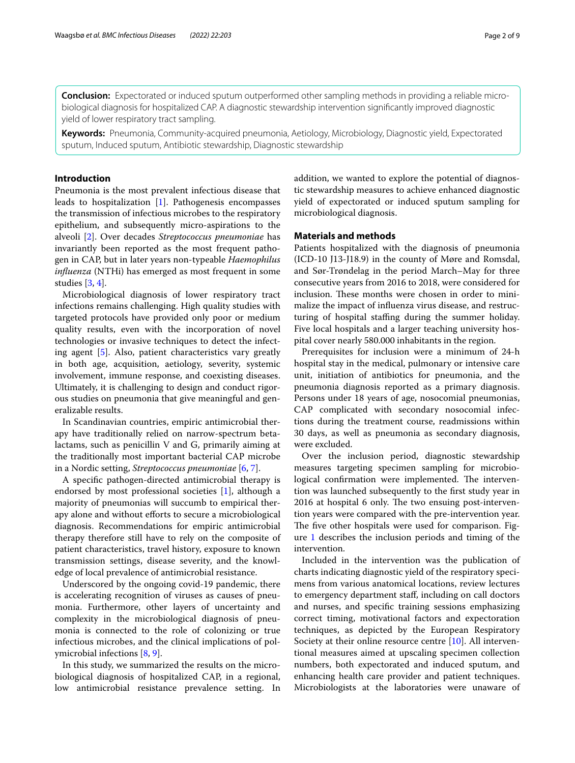**Conclusion:** Expectorated or induced sputum outperformed other sampling methods in providing a reliable micro‑ biological diagnosis for hospitalized CAP. A diagnostic stewardship intervention signifcantly improved diagnostic yield of lower respiratory tract sampling.

**Keywords:** Pneumonia, Community-acquired pneumonia, Aetiology, Microbiology, Diagnostic yield, Expectorated sputum, Induced sputum, Antibiotic stewardship, Diagnostic stewardship

## **Introduction**

Pneumonia is the most prevalent infectious disease that leads to hospitalization [\[1\]](#page-8-0). Pathogenesis encompasses the transmission of infectious microbes to the respiratory epithelium, and subsequently micro-aspirations to the alveoli [[2\]](#page-8-1). Over decades *Streptococcus pneumoniae* has invariantly been reported as the most frequent pathogen in CAP, but in later years non-typeable *Haemophilus infuenza* (NTHi) has emerged as most frequent in some studies [[3,](#page-8-2) [4](#page-8-3)].

Microbiological diagnosis of lower respiratory tract infections remains challenging. High quality studies with targeted protocols have provided only poor or medium quality results, even with the incorporation of novel technologies or invasive techniques to detect the infecting agent [[5\]](#page-8-4). Also, patient characteristics vary greatly in both age, acquisition, aetiology, severity, systemic involvement, immune response, and coexisting diseases. Ultimately, it is challenging to design and conduct rigorous studies on pneumonia that give meaningful and generalizable results.

In Scandinavian countries, empiric antimicrobial therapy have traditionally relied on narrow-spectrum betalactams, such as penicillin V and G, primarily aiming at the traditionally most important bacterial CAP microbe in a Nordic setting, *Streptococcus pneumoniae* [\[6](#page-8-5), [7\]](#page-8-6).

A specifc pathogen-directed antimicrobial therapy is endorsed by most professional societies [[1\]](#page-8-0), although a majority of pneumonias will succumb to empirical therapy alone and without efforts to secure a microbiological diagnosis. Recommendations for empiric antimicrobial therapy therefore still have to rely on the composite of patient characteristics, travel history, exposure to known transmission settings, disease severity, and the knowledge of local prevalence of antimicrobial resistance.

Underscored by the ongoing covid-19 pandemic, there is accelerating recognition of viruses as causes of pneumonia. Furthermore, other layers of uncertainty and complexity in the microbiological diagnosis of pneumonia is connected to the role of colonizing or true infectious microbes, and the clinical implications of polymicrobial infections [\[8](#page-8-7), [9\]](#page-8-8).

In this study, we summarized the results on the microbiological diagnosis of hospitalized CAP, in a regional, low antimicrobial resistance prevalence setting. In addition, we wanted to explore the potential of diagnostic stewardship measures to achieve enhanced diagnostic yield of expectorated or induced sputum sampling for microbiological diagnosis.

## **Materials and methods**

Patients hospitalized with the diagnosis of pneumonia (ICD-10 J13-J18.9) in the county of Møre and Romsdal, and Sør-Trøndelag in the period March–May for three consecutive years from 2016 to 2018, were considered for inclusion. These months were chosen in order to minimalize the impact of infuenza virus disease, and restructuring of hospital staffing during the summer holiday. Five local hospitals and a larger teaching university hospital cover nearly 580.000 inhabitants in the region.

Prerequisites for inclusion were a minimum of 24-h hospital stay in the medical, pulmonary or intensive care unit, initiation of antibiotics for pneumonia, and the pneumonia diagnosis reported as a primary diagnosis. Persons under 18 years of age, nosocomial pneumonias, CAP complicated with secondary nosocomial infections during the treatment course, readmissions within 30 days, as well as pneumonia as secondary diagnosis, were excluded.

Over the inclusion period, diagnostic stewardship measures targeting specimen sampling for microbiological confirmation were implemented. The intervention was launched subsequently to the frst study year in 2016 at hospital 6 only. The two ensuing post-intervention years were compared with the pre-intervention year. The five other hospitals were used for comparison. Figure [1](#page-2-0) describes the inclusion periods and timing of the intervention.

Included in the intervention was the publication of charts indicating diagnostic yield of the respiratory specimens from various anatomical locations, review lectures to emergency department staf, including on call doctors and nurses, and specifc training sessions emphasizing correct timing, motivational factors and expectoration techniques, as depicted by the European Respiratory Society at their online resource centre [[10\]](#page-8-9). All interventional measures aimed at upscaling specimen collection numbers, both expectorated and induced sputum, and enhancing health care provider and patient techniques. Microbiologists at the laboratories were unaware of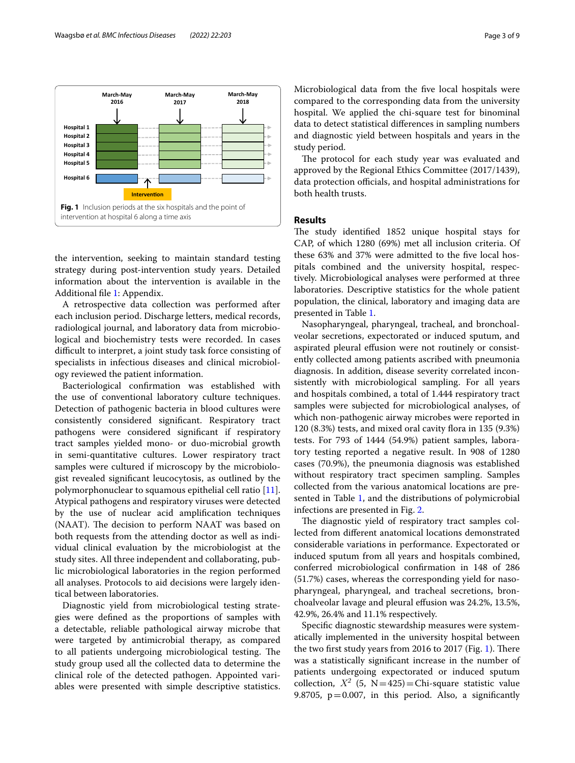

<span id="page-2-0"></span>the intervention, seeking to maintain standard testing strategy during post-intervention study years. Detailed information about the intervention is available in the Additional fle [1](#page-7-0): Appendix.

A retrospective data collection was performed after each inclusion period. Discharge letters, medical records, radiological journal, and laboratory data from microbiological and biochemistry tests were recorded. In cases difficult to interpret, a joint study task force consisting of specialists in infectious diseases and clinical microbiology reviewed the patient information.

Bacteriological confrmation was established with the use of conventional laboratory culture techniques. Detection of pathogenic bacteria in blood cultures were consistently considered signifcant. Respiratory tract pathogens were considered signifcant if respiratory tract samples yielded mono- or duo-microbial growth in semi-quantitative cultures. Lower respiratory tract samples were cultured if microscopy by the microbiologist revealed signifcant leucocytosis, as outlined by the polymorphonuclear to squamous epithelial cell ratio [\[11](#page-8-10)]. Atypical pathogens and respiratory viruses were detected by the use of nuclear acid amplifcation techniques (NAAT). The decision to perform NAAT was based on both requests from the attending doctor as well as individual clinical evaluation by the microbiologist at the study sites. All three independent and collaborating, public microbiological laboratories in the region performed all analyses. Protocols to aid decisions were largely identical between laboratories.

Diagnostic yield from microbiological testing strategies were defned as the proportions of samples with a detectable, reliable pathological airway microbe that were targeted by antimicrobial therapy, as compared to all patients undergoing microbiological testing. The study group used all the collected data to determine the clinical role of the detected pathogen. Appointed variables were presented with simple descriptive statistics. Microbiological data from the fve local hospitals were compared to the corresponding data from the university hospital. We applied the chi-square test for binominal data to detect statistical diferences in sampling numbers and diagnostic yield between hospitals and years in the study period.

The protocol for each study year was evaluated and approved by the Regional Ethics Committee (2017/1439), data protection officials, and hospital administrations for both health trusts.

## **Results**

The study identified 1852 unique hospital stays for CAP, of which 1280 (69%) met all inclusion criteria. Of these 63% and 37% were admitted to the fve local hospitals combined and the university hospital, respectively. Microbiological analyses were performed at three laboratories. Descriptive statistics for the whole patient population, the clinical, laboratory and imaging data are presented in Table [1](#page-3-0).

Nasopharyngeal, pharyngeal, tracheal, and bronchoalveolar secretions, expectorated or induced sputum, and aspirated pleural effusion were not routinely or consistently collected among patients ascribed with pneumonia diagnosis. In addition, disease severity correlated inconsistently with microbiological sampling. For all years and hospitals combined, a total of 1.444 respiratory tract samples were subjected for microbiological analyses, of which non-pathogenic airway microbes were reported in  $120$   $(8.3%)$  tests, and mixed oral cavity flora in 135  $(9.3%)$ tests. For 793 of 1444 (54.9%) patient samples, laboratory testing reported a negative result. In 908 of 1280 cases (70.9%), the pneumonia diagnosis was established without respiratory tract specimen sampling. Samples collected from the various anatomical locations are presented in Table [1,](#page-3-0) and the distributions of polymicrobial infections are presented in Fig. [2](#page-4-0).

The diagnostic yield of respiratory tract samples collected from diferent anatomical locations demonstrated considerable variations in performance. Expectorated or induced sputum from all years and hospitals combined, conferred microbiological confrmation in 148 of 286 (51.7%) cases, whereas the corresponding yield for nasopharyngeal, pharyngeal, and tracheal secretions, bronchoalveolar lavage and pleural efusion was 24.2%, 13.5%, 42.9%, 26.4% and 11.1% respectively.

Specifc diagnostic stewardship measures were systematically implemented in the university hospital between the two first study years from 2016 to 2017 (Fig. [1](#page-2-0)). There was a statistically signifcant increase in the number of patients undergoing expectorated or induced sputum collection,  $X^2$  (5, N=425)=Chi-square statistic value 9.8705,  $p = 0.007$ , in this period. Also, a significantly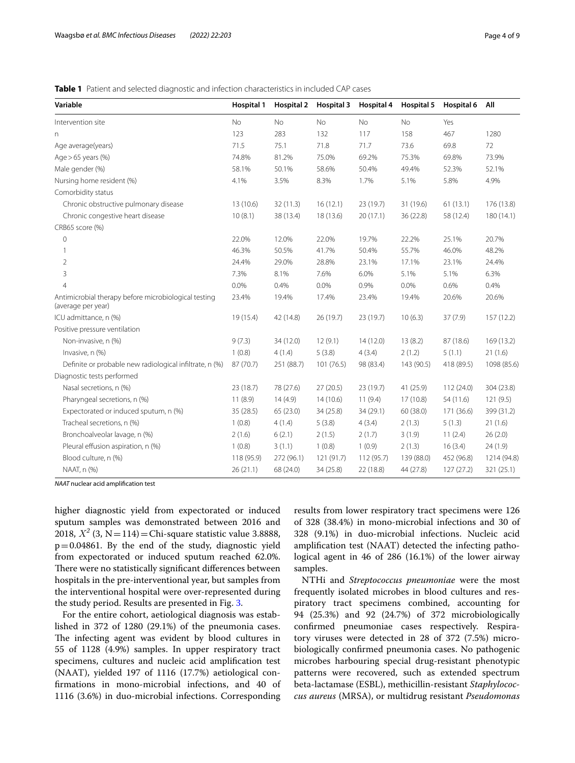## <span id="page-3-0"></span>**Table 1** Patient and selected diagnostic and infection characteristics in included CAP cases

| Variable                                                                   | <b>Hospital 1</b> | <b>Hospital 2</b> | Hospital 3 | Hospital 4 | Hospital 5 | Hospital 6 | All         |
|----------------------------------------------------------------------------|-------------------|-------------------|------------|------------|------------|------------|-------------|
| Intervention site                                                          | <b>No</b>         | <b>No</b>         | <b>No</b>  | No         | <b>No</b>  | Yes        |             |
| n                                                                          | 123               | 283               | 132        | 117        | 158        | 467        | 1280        |
| Age average(years)                                                         | 71.5              | 75.1              | 71.8       | 71.7       | 73.6       | 69.8       | 72          |
| Age $>65$ years (%)                                                        | 74.8%             | 81.2%             | 75.0%      | 69.2%      | 75.3%      | 69.8%      | 73.9%       |
| Male gender (%)                                                            | 58.1%             | 50.1%             | 58.6%      | 50.4%      | 49.4%      | 52.3%      | 52.1%       |
| Nursing home resident (%)                                                  | 4.1%              | 3.5%              | 8.3%       | 1.7%       | 5.1%       | 5.8%       | 4.9%        |
| Comorbidity status                                                         |                   |                   |            |            |            |            |             |
| Chronic obstructive pulmonary disease                                      | 13 (10.6)         | 32 (11.3)         | 16(12.1)   | 23 (19.7)  | 31 (19.6)  | 61(13.1)   | 176 (13.8)  |
| Chronic congestive heart disease                                           | 10(8.1)           | 38 (13.4)         | 18 (13.6)  | 20(17.1)   | 36 (22.8)  | 58 (12.4)  | 180 (14.1)  |
| CRB65 score (%)                                                            |                   |                   |            |            |            |            |             |
| $\mathbf 0$                                                                | 22.0%             | 12.0%             | 22.0%      | 19.7%      | 22.2%      | 25.1%      | 20.7%       |
| 1                                                                          | 46.3%             | 50.5%             | 41.7%      | 50.4%      | 55.7%      | 46.0%      | 48.2%       |
| 2                                                                          | 24.4%             | 29.0%             | 28.8%      | 23.1%      | 17.1%      | 23.1%      | 24.4%       |
| 3                                                                          | 7.3%              | 8.1%              | 7.6%       | 6.0%       | 5.1%       | 5.1%       | 6.3%        |
| $\overline{4}$                                                             | 0.0%              | 0.4%              | 0.0%       | 0.9%       | 0.0%       | 0.6%       | 0.4%        |
| Antimicrobial therapy before microbiological testing<br>(average per year) | 23.4%             | 19.4%             | 17.4%      | 23.4%      | 19.4%      | 20.6%      | 20.6%       |
| ICU admittance, n (%)                                                      | 19 (15.4)         | 42 (14.8)         | 26 (19.7)  | 23 (19.7)  | 10(6.3)    | 37(7.9)    | 157 (12.2)  |
| Positive pressure ventilation                                              |                   |                   |            |            |            |            |             |
| Non-invasive, n (%)                                                        | 9(7.3)            | 34 (12.0)         | 12(9.1)    | 14(12.0)   | 13(8.2)    | 87 (18.6)  | 169 (13.2)  |
| Invasive, n (%)                                                            | 1(0.8)            | 4(1.4)            | 5(3.8)     | 4(3.4)     | 2(1.2)     | 5(1.1)     | 21(1.6)     |
| Definite or probable new radiological infiltrate, n (%)                    | 87 (70.7)         | 251 (88.7)        | 101(76.5)  | 98 (83.4)  | 143 (90.5) | 418 (89.5) | 1098 (85.6) |
| Diagnostic tests performed                                                 |                   |                   |            |            |            |            |             |
| Nasal secretions, n (%)                                                    | 23 (18.7)         | 78 (27.6)         | 27(20.5)   | 23 (19.7)  | 41 (25.9)  | 112(24.0)  | 304 (23.8)  |
| Pharyngeal secretions, n (%)                                               | 11(8.9)           | 14(4.9)           | 14(10.6)   | 11(9.4)    | 17(10.8)   | 54 (11.6)  | 121(9.5)    |
| Expectorated or induced sputum, n (%)                                      | 35 (28.5)         | 65 (23.0)         | 34 (25.8)  | 34 (29.1)  | 60 (38.0)  | 171 (36.6) | 399 (31.2)  |
| Tracheal secretions, n (%)                                                 | 1(0.8)            | 4(1.4)            | 5(3.8)     | 4(3.4)     | 2(1.3)     | 5(1.3)     | 21(1.6)     |
| Bronchoalveolar lavage, n (%)                                              | 2(1.6)            | 6(2.1)            | 2(1.5)     | 2(1.7)     | 3(1.9)     | 11(2.4)    | 26(2.0)     |
| Pleural effusion aspiration, n (%)                                         | 1(0.8)            | 3(1.1)            | 1(0.8)     | 1(0.9)     | 2(1.3)     | 16(3.4)    | 24(1.9)     |
| Blood culture, n (%)                                                       | 118 (95.9)        | 272 (96.1)        | 121 (91.7) | 112 (95.7) | 139 (88.0) | 452 (96.8) | 1214 (94.8) |
| NAAT, n (%)                                                                | 26(21.1)          | 68 (24.0)         | 34(25.8)   | 22 (18.8)  | 44 (27.8)  | 127(27.2)  | 321(25.1)   |

*NAAT* nuclear acid amplifcation test

higher diagnostic yield from expectorated or induced sputum samples was demonstrated between 2016 and 2018,  $X^2$  (3, N = 114) = Chi-square statistic value 3.8888,  $p=0.04861$ . By the end of the study, diagnostic yield from expectorated or induced sputum reached 62.0%. There were no statistically significant differences between hospitals in the pre-interventional year, but samples from the interventional hospital were over-represented during the study period. Results are presented in Fig. [3](#page-5-0).

For the entire cohort, aetiological diagnosis was established in 372 of 1280 (29.1%) of the pneumonia cases. The infecting agent was evident by blood cultures in 55 of 1128 (4.9%) samples. In upper respiratory tract specimens, cultures and nucleic acid amplifcation test (NAAT), yielded 197 of 1116 (17.7%) aetiological confrmations in mono-microbial infections, and 40 of 1116 (3.6%) in duo-microbial infections. Corresponding results from lower respiratory tract specimens were 126 of 328 (38.4%) in mono-microbial infections and 30 of 328 (9.1%) in duo-microbial infections. Nucleic acid amplifcation test (NAAT) detected the infecting pathological agent in 46 of 286 (16.1%) of the lower airway samples.

NTHi and *Streptococcus pneumoniae* were the most frequently isolated microbes in blood cultures and respiratory tract specimens combined, accounting for 94 (25.3%) and 92 (24.7%) of 372 microbiologically confrmed pneumoniae cases respectively. Respiratory viruses were detected in 28 of 372 (7.5%) microbiologically confrmed pneumonia cases. No pathogenic microbes harbouring special drug-resistant phenotypic patterns were recovered, such as extended spectrum beta-lactamase (ESBL), methicillin-resistant *Staphylococcus aureus* (MRSA), or multidrug resistant *Pseudomonas*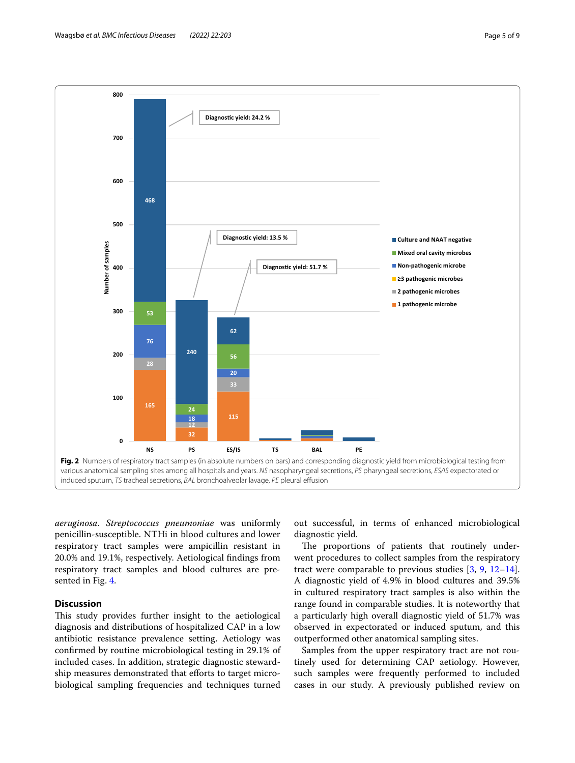

<span id="page-4-0"></span>*aeruginosa*. *Streptococcus pneumoniae* was uniformly penicillin-susceptible. NTHi in blood cultures and lower respiratory tract samples were ampicillin resistant in 20.0% and 19.1%, respectively. Aetiological fndings from respiratory tract samples and blood cultures are presented in Fig. [4](#page-5-1).

## **Discussion**

This study provides further insight to the aetiological diagnosis and distributions of hospitalized CAP in a low antibiotic resistance prevalence setting. Aetiology was confrmed by routine microbiological testing in 29.1% of included cases. In addition, strategic diagnostic stewardship measures demonstrated that efforts to target microbiological sampling frequencies and techniques turned

out successful, in terms of enhanced microbiological diagnostic yield.

The proportions of patients that routinely underwent procedures to collect samples from the respiratory tract were comparable to previous studies [[3](#page-8-2), [9,](#page-8-8) [12](#page-8-11)[–14](#page-8-12)]. A diagnostic yield of 4.9% in blood cultures and 39.5% in cultured respiratory tract samples is also within the range found in comparable studies. It is noteworthy that a particularly high overall diagnostic yield of 51.7% was observed in expectorated or induced sputum, and this outperformed other anatomical sampling sites.

Samples from the upper respiratory tract are not routinely used for determining CAP aetiology. However, such samples were frequently performed to included cases in our study. A previously published review on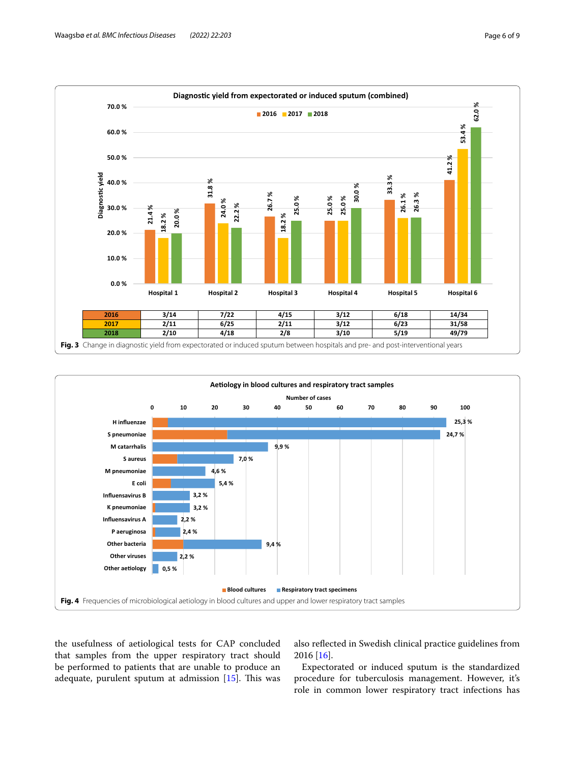

<span id="page-5-0"></span>

<span id="page-5-1"></span>the usefulness of aetiological tests for CAP concluded that samples from the upper respiratory tract should be performed to patients that are unable to produce an adequate, purulent sputum at admission  $[15]$  $[15]$  $[15]$ . This was also refected in Swedish clinical practice guidelines from 2016 [[16\]](#page-8-14).

Expectorated or induced sputum is the standardized procedure for tuberculosis management. However, it's role in common lower respiratory tract infections has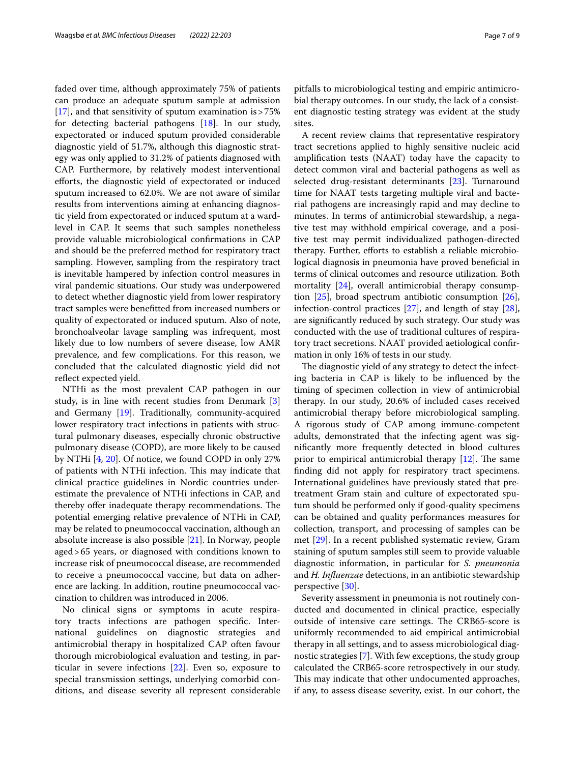faded over time, although approximately 75% of patients can produce an adequate sputum sample at admission [[17\]](#page-8-15), and that sensitivity of sputum examination is>75% for detecting bacterial pathogens [[18\]](#page-8-16). In our study, expectorated or induced sputum provided considerable diagnostic yield of 51.7%, although this diagnostic strategy was only applied to 31.2% of patients diagnosed with CAP. Furthermore, by relatively modest interventional eforts, the diagnostic yield of expectorated or induced sputum increased to 62.0%. We are not aware of similar results from interventions aiming at enhancing diagnostic yield from expectorated or induced sputum at a wardlevel in CAP. It seems that such samples nonetheless provide valuable microbiological confrmations in CAP and should be the preferred method for respiratory tract sampling. However, sampling from the respiratory tract is inevitable hampered by infection control measures in viral pandemic situations. Our study was underpowered to detect whether diagnostic yield from lower respiratory tract samples were beneftted from increased numbers or quality of expectorated or induced sputum. Also of note, bronchoalveolar lavage sampling was infrequent, most likely due to low numbers of severe disease, low AMR prevalence, and few complications. For this reason, we concluded that the calculated diagnostic yield did not reflect expected yield.

NTHi as the most prevalent CAP pathogen in our study, is in line with recent studies from Denmark [\[3](#page-8-2)] and Germany [\[19\]](#page-8-17). Traditionally, community-acquired lower respiratory tract infections in patients with structural pulmonary diseases, especially chronic obstructive pulmonary disease (COPD), are more likely to be caused by NTHi [[4,](#page-8-3) [20](#page-8-18)]. Of notice, we found COPD in only 27% of patients with NTHi infection. This may indicate that clinical practice guidelines in Nordic countries underestimate the prevalence of NTHi infections in CAP, and thereby offer inadequate therapy recommendations. The potential emerging relative prevalence of NTHi in CAP, may be related to pneumococcal vaccination, although an absolute increase is also possible [[21\]](#page-8-19). In Norway, people aged>65 years, or diagnosed with conditions known to increase risk of pneumococcal disease, are recommended to receive a pneumococcal vaccine, but data on adherence are lacking. In addition, routine pneumococcal vaccination to children was introduced in 2006.

No clinical signs or symptoms in acute respiratory tracts infections are pathogen specifc. International guidelines on diagnostic strategies and antimicrobial therapy in hospitalized CAP often favour thorough microbiological evaluation and testing, in particular in severe infections [[22\]](#page-8-20). Even so, exposure to special transmission settings, underlying comorbid conditions, and disease severity all represent considerable pitfalls to microbiological testing and empiric antimicrobial therapy outcomes. In our study, the lack of a consistent diagnostic testing strategy was evident at the study sites.

A recent review claims that representative respiratory tract secretions applied to highly sensitive nucleic acid amplifcation tests (NAAT) today have the capacity to detect common viral and bacterial pathogens as well as selected drug-resistant determinants [[23](#page-8-21)]. Turnaround time for NAAT tests targeting multiple viral and bacterial pathogens are increasingly rapid and may decline to minutes. In terms of antimicrobial stewardship, a negative test may withhold empirical coverage, and a positive test may permit individualized pathogen-directed therapy. Further, efforts to establish a reliable microbiological diagnosis in pneumonia have proved benefcial in terms of clinical outcomes and resource utilization. Both mortality [[24](#page-8-22)], overall antimicrobial therapy consumption  $[25]$  $[25]$  $[25]$ , broad spectrum antibiotic consumption  $[26]$  $[26]$ , infection-control practices [\[27](#page-8-25)], and length of stay [\[28](#page-8-26)], are signifcantly reduced by such strategy. Our study was conducted with the use of traditional cultures of respiratory tract secretions. NAAT provided aetiological confrmation in only 16% of tests in our study.

The diagnostic yield of any strategy to detect the infecting bacteria in CAP is likely to be infuenced by the timing of specimen collection in view of antimicrobial therapy. In our study, 20.6% of included cases received antimicrobial therapy before microbiological sampling. A rigorous study of CAP among immune-competent adults, demonstrated that the infecting agent was signifcantly more frequently detected in blood cultures prior to empirical antimicrobial therapy  $[12]$  $[12]$  $[12]$ . The same fnding did not apply for respiratory tract specimens. International guidelines have previously stated that pretreatment Gram stain and culture of expectorated sputum should be performed only if good-quality specimens can be obtained and quality performances measures for collection, transport, and processing of samples can be met [\[29\]](#page-8-27). In a recent published systematic review, Gram staining of sputum samples still seem to provide valuable diagnostic information, in particular for *S. pneumonia* and *H. Infuenzae* detections, in an antibiotic stewardship perspective [[30\]](#page-8-28).

Severity assessment in pneumonia is not routinely conducted and documented in clinical practice, especially outside of intensive care settings. The CRB65-score is uniformly recommended to aid empirical antimicrobial therapy in all settings, and to assess microbiological diagnostic strategies [\[7](#page-8-6)]. With few exceptions, the study group calculated the CRB65-score retrospectively in our study. This may indicate that other undocumented approaches, if any, to assess disease severity, exist. In our cohort, the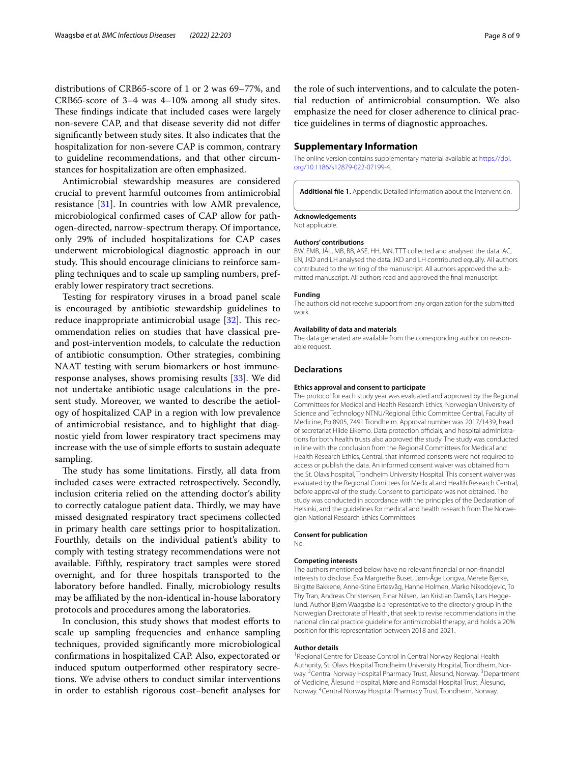distributions of CRB65-score of 1 or 2 was 69–77%, and CRB65-score of 3–4 was 4–10% among all study sites. These findings indicate that included cases were largely non-severe CAP, and that disease severity did not difer signifcantly between study sites. It also indicates that the hospitalization for non-severe CAP is common, contrary to guideline recommendations, and that other circumstances for hospitalization are often emphasized.

Antimicrobial stewardship measures are considered crucial to prevent harmful outcomes from antimicrobial resistance [\[31](#page-8-29)]. In countries with low AMR prevalence, microbiological confrmed cases of CAP allow for pathogen-directed, narrow-spectrum therapy. Of importance, only 29% of included hospitalizations for CAP cases underwent microbiological diagnostic approach in our study. This should encourage clinicians to reinforce sampling techniques and to scale up sampling numbers, preferably lower respiratory tract secretions.

Testing for respiratory viruses in a broad panel scale is encouraged by antibiotic stewardship guidelines to reduce inappropriate antimicrobial usage  $[32]$  $[32]$ . This recommendation relies on studies that have classical preand post-intervention models, to calculate the reduction of antibiotic consumption. Other strategies, combining NAAT testing with serum biomarkers or host immuneresponse analyses, shows promising results [\[33\]](#page-8-31). We did not undertake antibiotic usage calculations in the present study. Moreover, we wanted to describe the aetiology of hospitalized CAP in a region with low prevalence of antimicrobial resistance, and to highlight that diagnostic yield from lower respiratory tract specimens may increase with the use of simple efforts to sustain adequate sampling.

The study has some limitations. Firstly, all data from included cases were extracted retrospectively. Secondly, inclusion criteria relied on the attending doctor's ability to correctly catalogue patient data. Thirdly, we may have missed designated respiratory tract specimens collected in primary health care settings prior to hospitalization. Fourthly, details on the individual patient's ability to comply with testing strategy recommendations were not available. Fifthly, respiratory tract samples were stored overnight, and for three hospitals transported to the laboratory before handled. Finally, microbiology results may be affiliated by the non-identical in-house laboratory protocols and procedures among the laboratories.

In conclusion, this study shows that modest eforts to scale up sampling frequencies and enhance sampling techniques, provided signifcantly more microbiological confrmations in hospitalized CAP. Also, expectorated or induced sputum outperformed other respiratory secretions. We advise others to conduct similar interventions in order to establish rigorous cost–beneft analyses for

the role of such interventions, and to calculate the potential reduction of antimicrobial consumption. We also emphasize the need for closer adherence to clinical practice guidelines in terms of diagnostic approaches.

## **Supplementary Information**

The online version contains supplementary material available at [https://doi.](https://doi.org/10.1186/s12879-022-07199-4) [org/10.1186/s12879-022-07199-4](https://doi.org/10.1186/s12879-022-07199-4).

<span id="page-7-0"></span>**Additional fle 1.** Appendix: Detailed information about the intervention.

#### **Acknowledgements**

Not applicable.

#### **Authors' contributions**

BW, EMB, JÅL, MB, BB, ASE, HH, MN, TTT collected and analysed the data. AC, EN, JKD and LH analysed the data. JKD and LH contributed equally. All authors contributed to the writing of the manuscript. All authors approved the submitted manuscript. All authors read and approved the fnal manuscript.

#### **Funding**

The authors did not receive support from any organization for the submitted work.

#### **Availability of data and materials**

The data generated are available from the corresponding author on reasonable request.

#### **Declarations**

### **Ethics approval and consent to participate**

The protocol for each study year was evaluated and approved by the Regional Committees for Medical and Health Research Ethics, Norwegian University of Science and Technology NTNU/Regional Ethic Committee Central, Faculty of Medicine, Pb 8905, 7491 Trondheim. Approval number was 2017/1439, head of secretariat Hilde Eikemo. Data protection officials, and hospital administrations for both health trusts also approved the study. The study was conducted in line with the conclusion from the Regional Committees for Medical and Health Research Ethics, Central, that informed consents were not required to access or publish the data. An informed consent waiver was obtained from the St. Olavs hospital, Trondheim University Hospital. This consent waiver was evaluated by the Regional Comittees for Medical and Health Research Central, before approval of the study. Consent to participate was not obtained. The study was conducted in accordance with the principles of the Declaration of Helsinki, and the guidelines for medical and health research from The Norwegian National Research Ethics Committees.

#### **Consent for publication**

No.

#### **Competing interests**

The authors mentioned below have no relevant fnancial or non-fnancial interests to disclose. Eva Margrethe Buset, Jørn-Åge Longva, Merete Bjerke, Birgitte Bakkene, Anne-Stine Ertesvåg, Hanne Holmen, Marko Nikodojevic, To Thy Tran, Andreas Christensen, Einar Nilsen, Jan Kristian Damås, Lars Heggelund. Author Bjørn Waagsbø is a representative to the directory group in the Norwegian Directorate of Health, that seek to revise recommendations in the national clinical practice guideline for antimicrobial therapy, and holds a 20% position for this representation between 2018 and 2021.

#### **Author details**

<sup>1</sup> Regional Centre for Disease Control in Central Norway Regional Health Authority, St. Olavs Hospital Trondheim University Hospital, Trondheim, Nor‑ way. <sup>2</sup> Central Norway Hospital Pharmacy Trust, Ålesund, Norway. <sup>3</sup> Department of Medicine, Ålesund Hospital, Møre and Romsdal Hospital Trust, Ålesund, Norway. 4 Central Norway Hospital Pharmacy Trust, Trondheim, Norway.